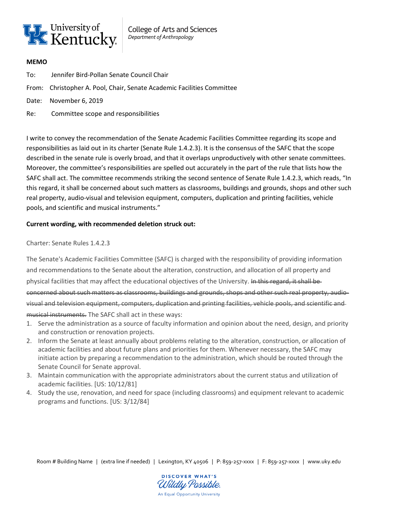

College of Arts and Sciences *Department of Anthropology*

## **MEMO**

- To: Jennifer Bird-Pollan Senate Council Chair
- From: Christopher A. Pool, Chair, Senate Academic Facilities Committee
- Date: November 6, 2019
- Re: Committee scope and responsibilities

I write to convey the recommendation of the Senate Academic Facilities Committee regarding its scope and responsibilities as laid out in its charter (Senate Rule 1.4.2.3). It is the consensus of the SAFC that the scope described in the senate rule is overly broad, and that it overlaps unproductively with other senate committees. Moreover, the committee's responsibilities are spelled out accurately in the part of the rule that lists how the SAFC shall act. The committee recommends striking the second sentence of Senate Rule 1.4.2.3, which reads, "In this regard, it shall be concerned about such matters as classrooms, buildings and grounds, shops and other such real property, audio-visual and television equipment, computers, duplication and printing facilities, vehicle pools, and scientific and musical instruments."

## **Current wording, with recommended deletion struck out:**

## Charter: Senate Rules 1.4.2.3

The Senate's Academic Facilities Committee (SAFC) is charged with the responsibility of providing information and recommendations to the Senate about the alteration, construction, and allocation of all property and physical facilities that may affect the educational objectives of the University. In this regard, it shall be concerned about such matters as classrooms, buildings and grounds, shops and other such real property, audiovisual and television equipment, computers, duplication and printing facilities, vehicle pools, and scientific and musical instruments. The SAFC shall act in these ways:

- 1. Serve the administration as a source of faculty information and opinion about the need, design, and priority and construction or renovation projects.
- 2. Inform the Senate at least annually about problems relating to the alteration, construction, or allocation of academic facilities and about future plans and priorities for them. Whenever necessary, the SAFC may initiate action by preparing a recommendation to the administration, which should be routed through the Senate Council for Senate approval.
- 3. Maintain communication with the appropriate administrators about the current status and utilization of academic facilities. [US: 10/12/81]
- 4. Study the use, renovation, and need for space (including classrooms) and equipment relevant to academic programs and functions. [US: 3/12/84]

Room # Building Name | (extra line if needed) | Lexington, KY 40506 | P: 859-257-xxxx | F: 859-257-xxxx | www.uky.edu